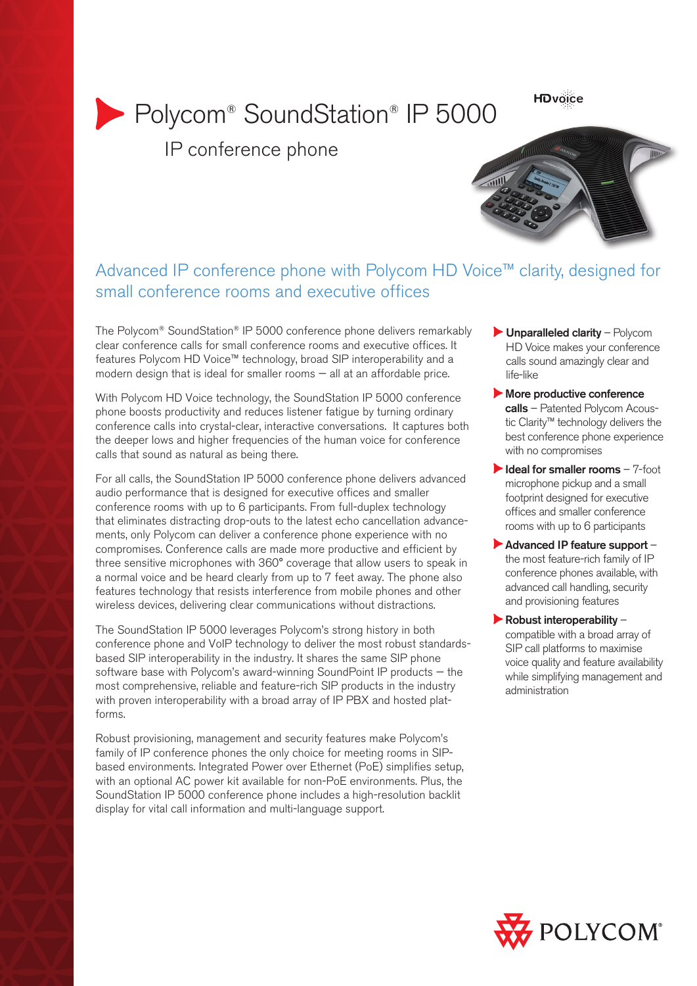**HDvoice** 

# Polycom® SoundStation® IP 5000

IP conference phone



### Advanced IP conference phone with Polycom HD Voice™ clarity, designed for small conference rooms and executive offices

The Polycom® SoundStation® IP 5000 conference phone delivers remarkably clear conference calls for small conference rooms and executive offices. It features Polycom HD Voice™ technology, broad SIP interoperability and a modern design that is ideal for smaller rooms — all at an affordable price.

With Polycom HD Voice technology, the SoundStation IP 5000 conference phone boosts productivity and reduces listener fatigue by turning ordinary conference calls into crystal-clear, interactive conversations. It captures both the deeper lows and higher frequencies of the human voice for conference calls that sound as natural as being there.

For all calls, the SoundStation IP 5000 conference phone delivers advanced audio performance that is designed for executive offices and smaller conference rooms with up to 6 participants. From full-duplex technology that eliminates distracting drop-outs to the latest echo cancellation advancements, only Polycom can deliver a conference phone experience with no compromises. Conference calls are made more productive and efficient by three sensitive microphones with 360° coverage that allow users to speak in a normal voice and be heard clearly from up to 7 feet away. The phone also features technology that resists interference from mobile phones and other wireless devices, delivering clear communications without distractions.

The SoundStation IP 5000 leverages Polycom's strong history in both conference phone and VoIP technology to deliver the most robust standardsbased SIP interoperability in the industry. It shares the same SIP phone software base with Polycom's award-winning SoundPoint IP products — the most comprehensive, reliable and feature-rich SIP products in the industry with proven interoperability with a broad array of IP PBX and hosted platforms.

Robust provisioning, management and security features make Polycom's family of IP conference phones the only choice for meeting rooms in SIPbased environments. Integrated Power over Ethernet (PoE) simplifies setup, with an optional AC power kit available for non-PoE environments. Plus, the SoundStation IP 5000 conference phone includes a high-resolution backlit display for vital call information and multi-language support.

- $\blacktriangleright$  Unparalleled clarity Polycom HD Voice makes your conference calls sound amazingly clear and life-like
- More productive conference calls - Patented Polycom Acoustic Clarity™ technology delivers the best conference phone experience with no compromises
- $\blacktriangleright$  Ideal for smaller rooms  $-7$ -foot microphone pickup and a small footprint designed for executive offices and smaller conference rooms with up to 6 participants
- Advanced IP feature support the most feature-rich family of IP conference phones available, with advanced call handling, security and provisioning features
- $\blacktriangleright$  Robust interoperability compatible with a broad array of SIP call platforms to maximise voice quality and feature availability while simplifying management and administration